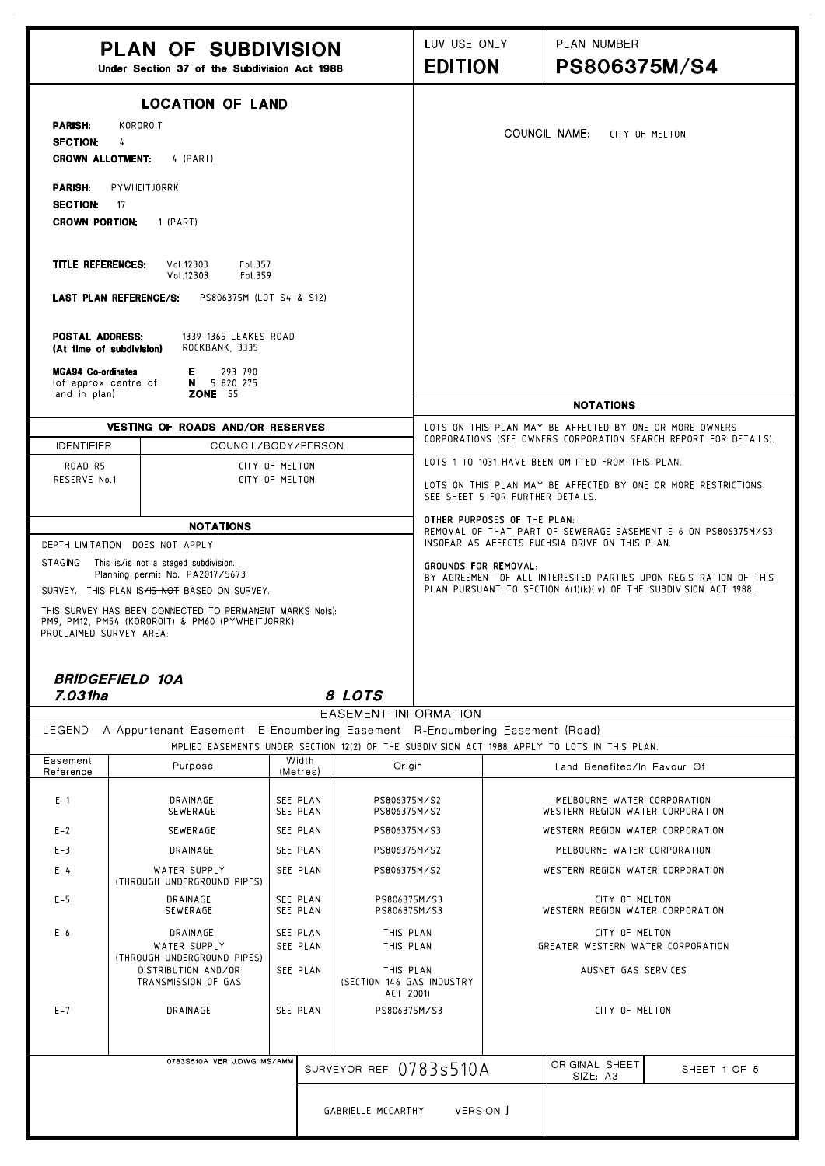|                                                                                                                                  | <b>PLAN OF SUBDIVISION</b><br>Under Section 37 of the Subdivision Act 1988                                                                                                             |                                                                                                                                                               |                                                                                                    | LUV USE ONLY<br><b>EDITION</b>                                                                                              |                             | PLAN NUMBER<br><b>PS806375M/S4</b>                              |              |
|----------------------------------------------------------------------------------------------------------------------------------|----------------------------------------------------------------------------------------------------------------------------------------------------------------------------------------|---------------------------------------------------------------------------------------------------------------------------------------------------------------|----------------------------------------------------------------------------------------------------|-----------------------------------------------------------------------------------------------------------------------------|-----------------------------|-----------------------------------------------------------------|--------------|
| <b>LOCATION OF LAND</b><br><b>PARISH:</b><br>KOROROIT<br><b>SECTION:</b><br>$\frac{1}{2}$<br><b>CROWN ALLOTMENT:</b><br>4 (PART) |                                                                                                                                                                                        | COUNCIL NAME:<br>CITY OF MELTON                                                                                                                               |                                                                                                    |                                                                                                                             |                             |                                                                 |              |
| <b>PARISH:</b><br><b>SECTION:</b><br><b>CROWN PORTION:</b>                                                                       | PYWHEITJORRK<br>- 17<br>1 (PART)                                                                                                                                                       |                                                                                                                                                               |                                                                                                    |                                                                                                                             |                             |                                                                 |              |
| <b>TITLE REFERENCES:</b>                                                                                                         | Fol.357<br>Vol.12303<br>Vol.12303<br>Fol.359<br><b>LAST PLAN REFERENCE/S:</b><br>PS806375M (LOT S4 & S12)                                                                              |                                                                                                                                                               |                                                                                                    |                                                                                                                             |                             |                                                                 |              |
| <b>POSTAL ADDRESS:</b><br>(At time of subdivision)                                                                               | 1339-1365 LEAKES ROAD<br>ROCKBANK, 3335                                                                                                                                                |                                                                                                                                                               |                                                                                                    |                                                                                                                             |                             |                                                                 |              |
| <b>MGA94 Co-ordinates</b><br>(of approx centre of<br>land in plan)                                                               | E 293 790<br>N 5 820 275<br><b>ZONE</b> 55                                                                                                                                             |                                                                                                                                                               |                                                                                                    |                                                                                                                             |                             | <b>NOTATIONS</b>                                                |              |
|                                                                                                                                  |                                                                                                                                                                                        |                                                                                                                                                               |                                                                                                    |                                                                                                                             |                             |                                                                 |              |
| <b>IDENTIFIER</b>                                                                                                                | VESTING OF ROADS AND/OR RESERVES                                                                                                                                                       | COUNCIL/BODY/PERSON                                                                                                                                           |                                                                                                    | LOTS ON THIS PLAN MAY BE AFFECTED BY ONE OR MORE OWNERS<br>CORPORATIONS (SEE OWNERS CORPORATION SEARCH REPORT FOR DETAILS). |                             |                                                                 |              |
| ROAD R5                                                                                                                          |                                                                                                                                                                                        |                                                                                                                                                               |                                                                                                    | LOTS 1 TO 1031 HAVE BEEN OMITTED FROM THIS PLAN.                                                                            |                             |                                                                 |              |
| RESERVE No.1                                                                                                                     | CITY OF MELTON<br>CITY OF MELTON                                                                                                                                                       |                                                                                                                                                               | LOTS ON THIS PLAN MAY BE AFFECTED BY ONE OR MORE RESTRICTIONS.<br>SEE SHEET 5 FOR FURTHER DETAILS. |                                                                                                                             |                             |                                                                 |              |
|                                                                                                                                  | <b>NOTATIONS</b>                                                                                                                                                                       |                                                                                                                                                               |                                                                                                    |                                                                                                                             | OTHER PURPOSES OF THE PLAN: |                                                                 |              |
|                                                                                                                                  | DEPTH LIMITATION DOES NOT APPLY                                                                                                                                                        |                                                                                                                                                               |                                                                                                    | REMOVAL OF THAT PART OF SEWERAGE EASEMENT E-6 ON PS806375M/S3<br>INSOFAR AS AFFECTS FUCHSIA DRIVE ON THIS PLAN.             |                             |                                                                 |              |
| <b>STAGING</b><br>This is/is not a staged subdivision.<br>Planning permit No. PA2017/5673                                        |                                                                                                                                                                                        | GROUNDS FOR REMOVAL:<br>BY AGREEMENT OF ALL INTERESTED PARTIES UPON REGISTRATION OF THIS<br>PLAN PURSUANT TO SECTION 6(1)(k)(iv) OF THE SUBDIVISION ACT 1988. |                                                                                                    |                                                                                                                             |                             |                                                                 |              |
| PROCLAIMED SURVEY AREA:                                                                                                          | SURVEY. THIS PLAN IS HS NOT BASED ON SURVEY.<br>THIS SURVEY HAS BEEN CONNECTED TO PERMANENT MARKS No(s):<br>PM9, PM12, PM54 (KOROROIT) & PM60 (PYWHEITJORRK)<br><b>BRIDGEFIELD 10A</b> |                                                                                                                                                               |                                                                                                    |                                                                                                                             |                             |                                                                 |              |
| 7.031ha                                                                                                                          |                                                                                                                                                                                        |                                                                                                                                                               | 8 LOTS                                                                                             |                                                                                                                             |                             |                                                                 |              |
| LEGEND                                                                                                                           | A-Appurtenant Easement E-Encumbering Easement R-Encumbering Easement (Road)                                                                                                            |                                                                                                                                                               | EASEMENT INFORMATION                                                                               |                                                                                                                             |                             |                                                                 |              |
|                                                                                                                                  | IMPLIED EASEMENTS UNDER SECTION 12(2) OF THE SUBDIVISION ACT 1988 APPLY TO LOTS IN THIS PLAN.                                                                                          |                                                                                                                                                               |                                                                                                    |                                                                                                                             |                             |                                                                 |              |
| Easement<br>Reference                                                                                                            | Purpose                                                                                                                                                                                | Width<br>(Metres)                                                                                                                                             | Origin                                                                                             |                                                                                                                             |                             | Land Benefited/In Favour Of                                     |              |
| $E - 1$                                                                                                                          | DRAINAGE<br>SEWERAGE                                                                                                                                                                   | SEE PLAN<br>SEE PLAN                                                                                                                                          | PS806375M/S2<br>PS806375M/S2                                                                       |                                                                                                                             |                             | MELBOURNE WATER CORPORATION<br>WESTERN REGION WATER CORPORATION |              |
| $E - 2$                                                                                                                          | SEWERAGE                                                                                                                                                                               | SEE PLAN                                                                                                                                                      | PS806375M/S3                                                                                       |                                                                                                                             |                             | WESTERN REGION WATER CORPORATION                                |              |
| $E-3$                                                                                                                            | DRAINAGE                                                                                                                                                                               | SEE PLAN                                                                                                                                                      | PS806375M/S2                                                                                       |                                                                                                                             |                             | MELBOURNE WATER CORPORATION                                     |              |
| $E - 4$                                                                                                                          | WATER SUPPLY<br>(THROUGH UNDERGROUND PIPES)                                                                                                                                            | SEE PLAN                                                                                                                                                      | PS806375M/S2                                                                                       |                                                                                                                             |                             | WESTERN REGION WATER CORPORATION                                |              |
| $E-5$                                                                                                                            | DRAINAGE<br>SEWERAGE                                                                                                                                                                   | SEE PLAN<br>SEE PLAN                                                                                                                                          | PS806375M/S3<br>PS806375M/S3                                                                       |                                                                                                                             |                             | CITY OF MELTON<br>WESTERN REGION WATER CORPORATION              |              |
| $E - 6$                                                                                                                          | DRAINAGE<br>WATER SUPPLY<br>(THROUGH UNDERGROUND PIPES)                                                                                                                                | SEE PLAN<br>SEE PLAN                                                                                                                                          | THIS PLAN<br>THIS PLAN                                                                             |                                                                                                                             |                             | CITY OF MELTON<br>GREATER WESTERN WATER CORPORATION             |              |
|                                                                                                                                  | DISTRIBUTION AND/OR<br>TRANSMISSION OF GAS                                                                                                                                             | SEE PLAN                                                                                                                                                      | THIS PLAN<br>(SECTION 146 GAS INDUSTRY<br>ACT 2001)                                                |                                                                                                                             |                             | AUSNET GAS SERVICES                                             |              |
| $E - 7$                                                                                                                          | DRAINAGE                                                                                                                                                                               | SEE PLAN                                                                                                                                                      | PS806375M/S3                                                                                       |                                                                                                                             |                             | CITY OF MELTON                                                  |              |
|                                                                                                                                  | 0783S510A VER J.DWG MS/AMM                                                                                                                                                             |                                                                                                                                                               |                                                                                                    |                                                                                                                             |                             | ORIGINAL SHEET                                                  |              |
|                                                                                                                                  |                                                                                                                                                                                        |                                                                                                                                                               | SURVEYOR REF: 07835510A                                                                            |                                                                                                                             |                             | SIZE: A3                                                        | SHEET 1 OF 5 |
|                                                                                                                                  |                                                                                                                                                                                        |                                                                                                                                                               | GABRIELLE MCCARTHY                                                                                 | VERSION J                                                                                                                   |                             |                                                                 |              |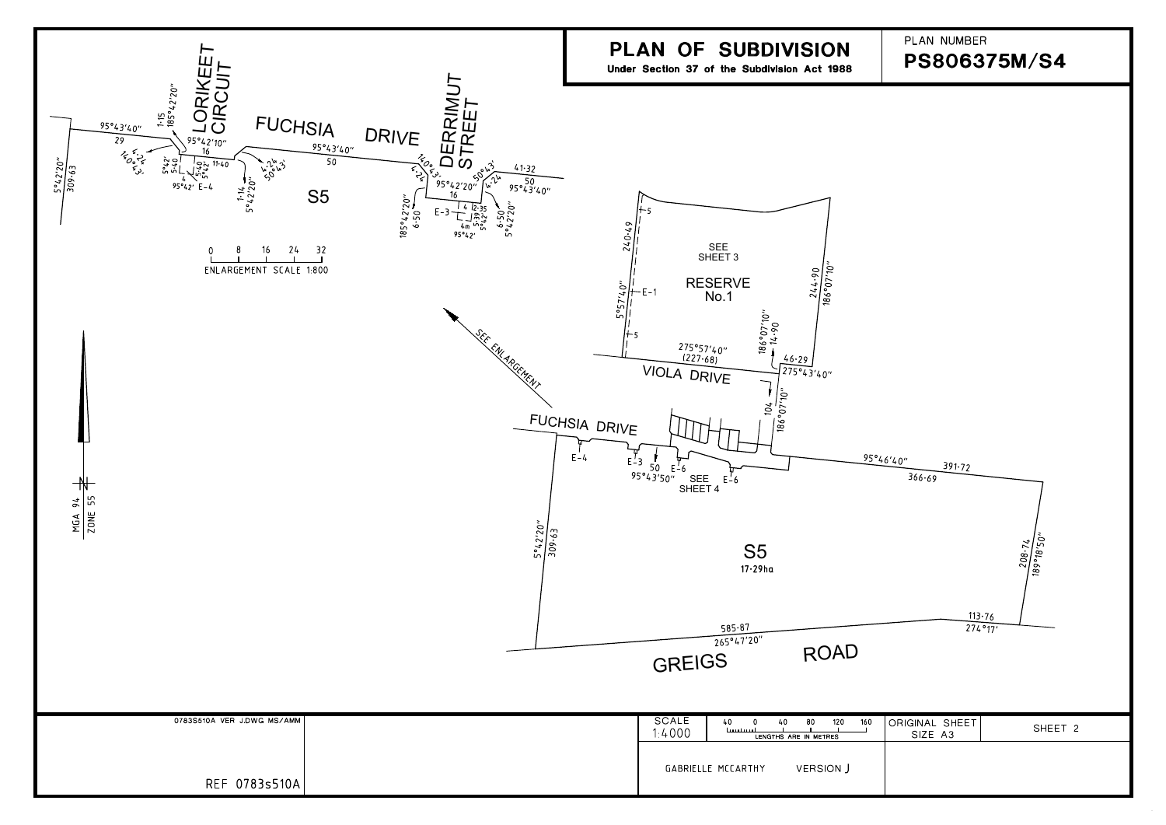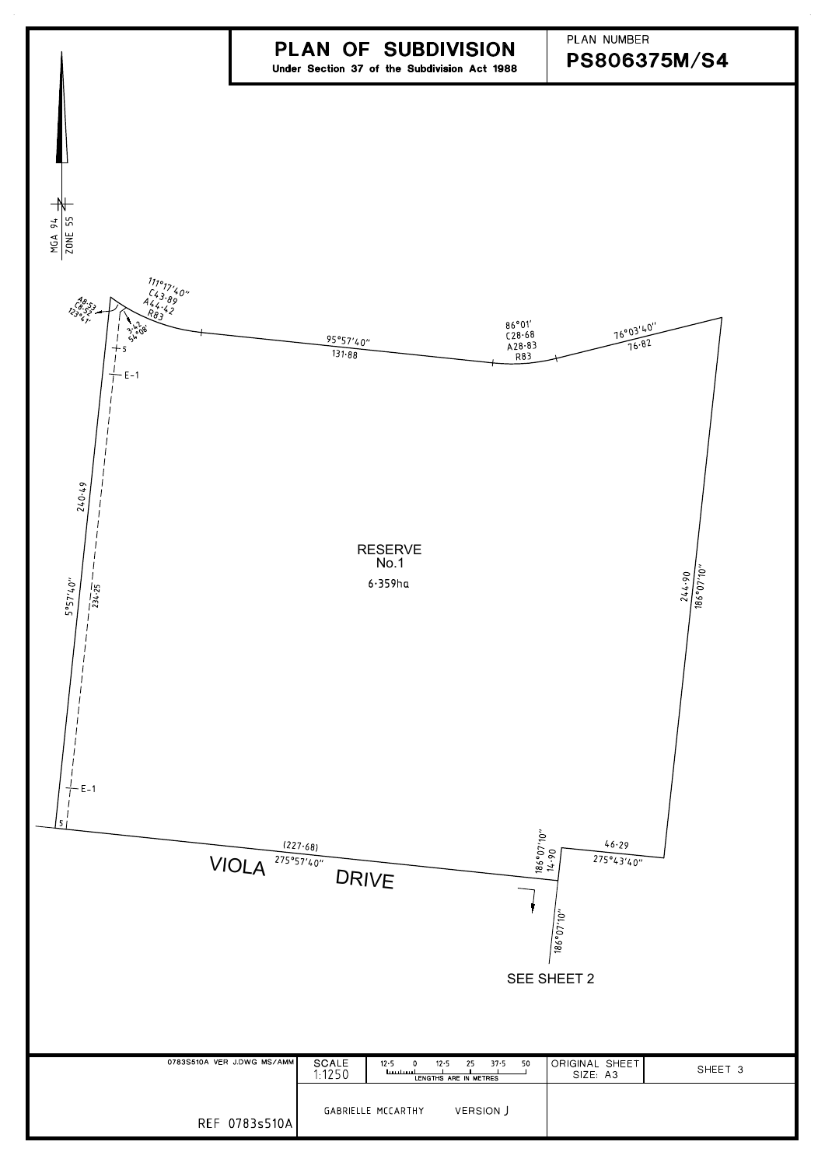

|                            | <b>PIVIVE</b>                                                                                               | 186°07'10'                 |         |
|----------------------------|-------------------------------------------------------------------------------------------------------------|----------------------------|---------|
|                            |                                                                                                             | SEE SHEET 2                |         |
| 0783S510A VER J.DWG MS/AMM | <b>SCALE</b><br>12.5<br>12.5<br>25<br>37.5<br>50<br>$\Omega$<br>1:1250<br>لسيستسيا<br>LENGTHS ARE IN METRES | ORIGINAL SHEET<br>SIZE: A3 | SHEET 3 |
| REF 0783s510A              | <b>VERSION J</b><br>GABRIELLE MCCARTHY                                                                      |                            |         |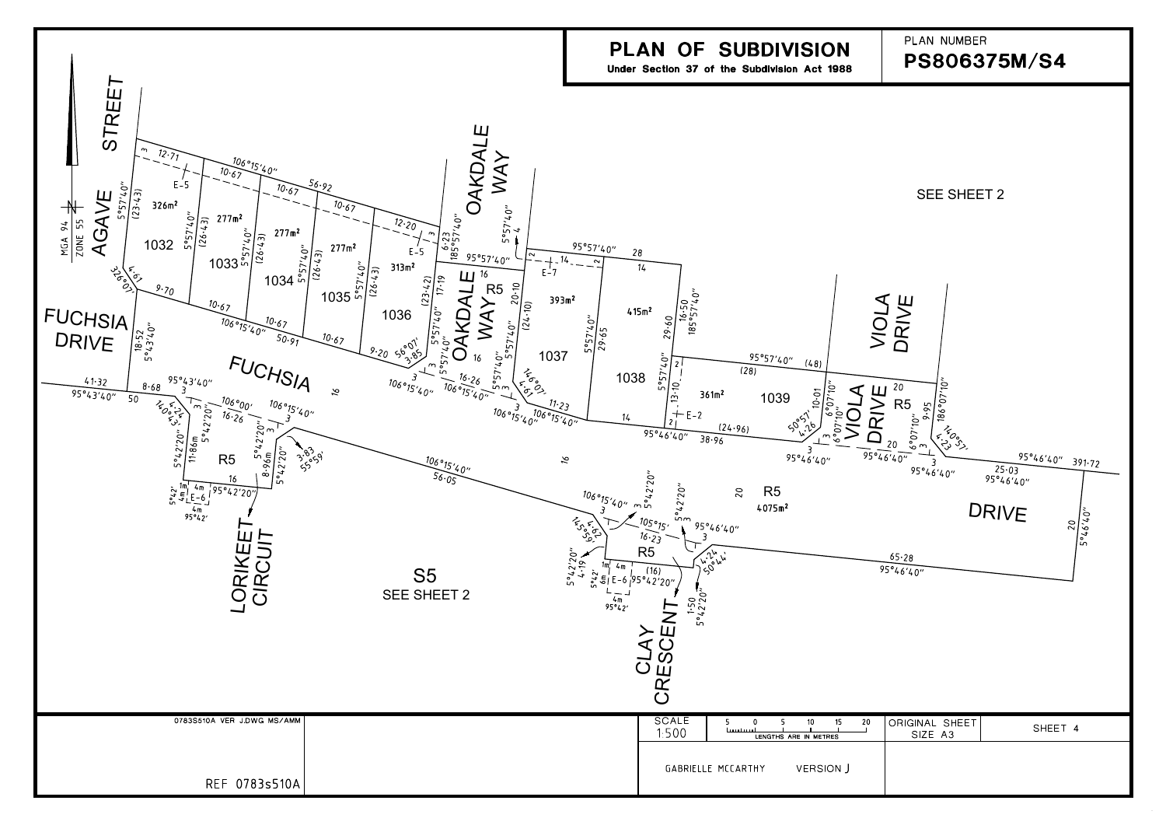